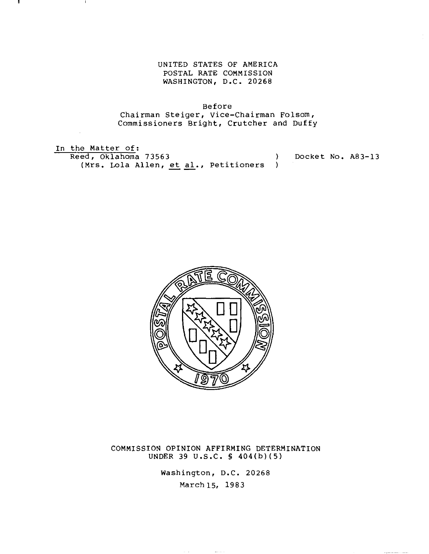UNITED STATES OF AMERICA POSTAL RATE COMMISSION WASHINGTON, D.C. 20268

Before Chairman Steiger, vice-Chairman Folsom, Commissioners Bright, Crutcher and Duffy

In the Matter of: Reed, Oklahoma 73563 ) (Mrs. Lola Allen, et al., Petitioners ) Docket No. A83-13



COMMISSION OPINION AFFIRMING DETERMINATION UNDER 39 U.S.C. S 404(b)(5)

> Washington, D.C. 20268 March 15, 1983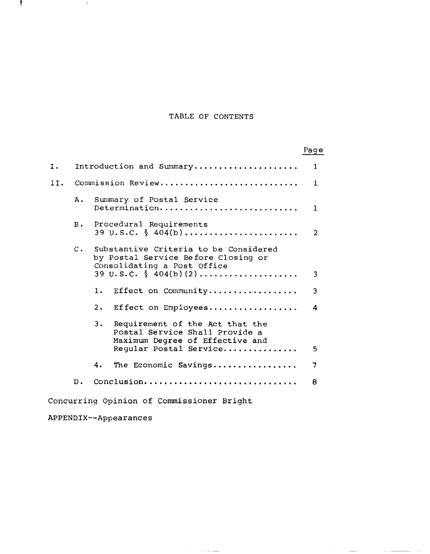# TABLE OF CONTENTS

|                                           |       |                                                                                                                                      | Page         |
|-------------------------------------------|-------|--------------------------------------------------------------------------------------------------------------------------------------|--------------|
| Ι.                                        |       | Introduction and Summary                                                                                                             | $\bf{1}$     |
|                                           |       | II. Commission Review                                                                                                                | $\mathbf{1}$ |
|                                           | Α.    | Summary of Postal Service<br>Determination                                                                                           | 1            |
|                                           | в.    | Procedural Requirements<br>39 U.S.C. $\S$ 404(b)                                                                                     | 2            |
|                                           | $C$ . | Substantive Criteria to be Considered<br>by Postal Service Before Closing or<br>Consolidating a Post Office                          |              |
|                                           |       | 39 U.S.C. $\S$ 404(b)(2)                                                                                                             | 3            |
|                                           |       | Effect on Community<br>1.                                                                                                            | 3            |
|                                           |       | 2.<br>Effect on Employees                                                                                                            | 4            |
|                                           |       | Requirement of the Act that the<br>3.<br>Postal Service Shall Provide a<br>Maximum Degree of Effective and<br>Regular Postal Service | 5            |
|                                           |       | 4.<br>The Economic Savings                                                                                                           | 7            |
|                                           | $D$ . | Conclusion                                                                                                                           | 8            |
| Concurring Opinion of Commissioner Bright |       |                                                                                                                                      |              |

 $\mathcal{L}_{\text{max}}$  , and  $\mathcal{L}_{\text{max}}$  , and  $\mathcal{L}_{\text{max}}$ 

 $\mathcal{L}_{\text{max}}$  and  $\mathcal{L}_{\text{max}}$  are the contract of the contract of the  $\mathcal{L}_{\text{max}}$ 

APPENDIX--Appearances

ł,

 $\sim 1$  .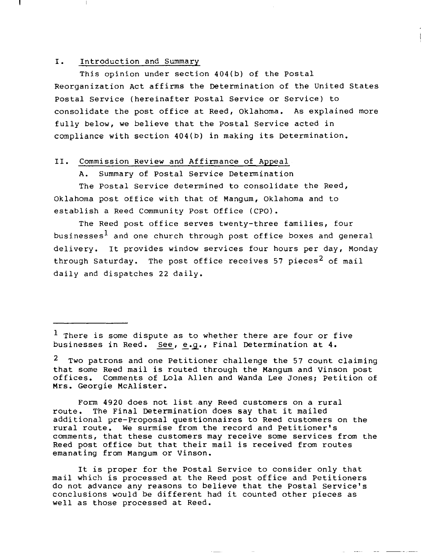# **I.** Introduction and Summary

This opinion under section 404(b) of the Postal Reorganization Act affirms the Determination of the United States Postal Service (hereinafter Postal Service or Service) to consolidate the post office at Reed, Oklahoma. As explained more fully below, we believe that the Postal Service acted in compliance with section 404(b) in making its Determination.

# **II.** Commission Review and Affirmance of Appeal

A. Summary of Postal Service Determination

The Postal Service determined to consolidate the Reed, Oklahoma post office with that of Mangum, Oklahoma and to establish a Reed Community Post Office (CPO).

The Reed post office serves twenty-three families, four businesses<sup>1</sup> and one church through post office boxes and general delivery. It provides window services four hours per day, Monday through Saturday. The post office receives 57 pieces<sup>2</sup> of mail daily and dispatches <sup>22</sup> daily.

Form <sup>4920</sup> does not list any Reed customers on <sup>a</sup> rural route. The Final Determination does say that it mailed additional pre-Proposal questionnaires to Reed customers on the rural route. We surmise from the record and Petitioner's comments, that these customers may receive some services from the Reed post office but that their mail is received from routes emanating from Mangum or Vinson.

It is proper for the Postal Service to consider only that mail which is processed at the Reed post office and Petitioners do not advance any reasons to believe that the Postal service's conclusions would be different had it counted other pieces as well as those processed at Reed.

 $<sup>1</sup>$  There is some dispute as to whether there are four or five</sup> businesses in Reed. See, e.g., Final Determination at 4.

<sup>&</sup>lt;sup>2</sup> Two patrons and one Petitioner challenge the 57 count claiming that some Reed mail is routed through the Mangum and Vinson post offices. Comments of Lola Allen and Wanda Lee Jones; Petition of Mrs. Georgie McAlister.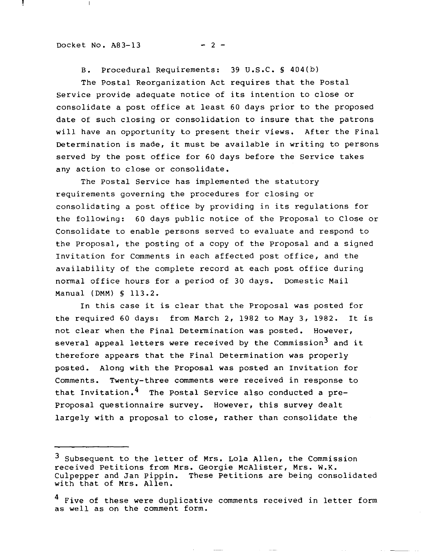Docket No.  $A83-13$  - 2 -

 $\mathbf{I}$ 

B. Procedural Requirements: 39 U.S.C. § 404(b)

The Postal Reorganization Act requires that the Postal Service provide adequate notice of its intention to close or consolidate <sup>a</sup> post office at least <sup>60</sup> days prior to the proposed date of such closing or consolidation to insure that the patrons will have an opportunity to present their views. After the Final Determination is made, it must be available in writing to persons served by the post office for 60 days before the Service takes any action to close or consolidate.

The Postal Service has implemented the statutory requirements governing the procedures for closing or consolidating <sup>a</sup> post office by providing in its regulations for the following: 60 days public notice of the Proposal to Close or Consolidate to enable persons served to evaluate and respond to the proposal, the posting of a copy of the proposal and a signed Invitation for Comments in each affected post office, and the availability of the complete record at each post office during normal office hours for a period of 30 days. Domestic Mail Manual (DMM) § 113.2.

In this case it is clear that the Proposal was posted for the required <sup>60</sup> days: from March 2, <sup>1982</sup> to May 3, 1982. It is not clear when the Final Determination was posted. However, several appeal letters were received by the Commission<sup>3</sup> and it therefore appears that the Final Determination was properly posted. Along with the proposal was posted an Invitation for Comments. Twenty-three comments were received in response to that Invitation.<sup>4</sup> The Postal Service also conducted a pre-Proposal questionnaire survey. However, this survey dealt largely with a proposal to close, rather than consolidate the

<sup>3</sup> Subsequent to the letter of Mrs. Lola Allen, the Commission received Petitions from Mrs. Georgie McAlister, Mrs. W.K. Culpepper and Jan pippin. These Petitions are being consolidated with that of Mrs. Allen.

<sup>&</sup>lt;sup>4</sup> Five of these were duplicative comments received in letter form as well as on the comment form.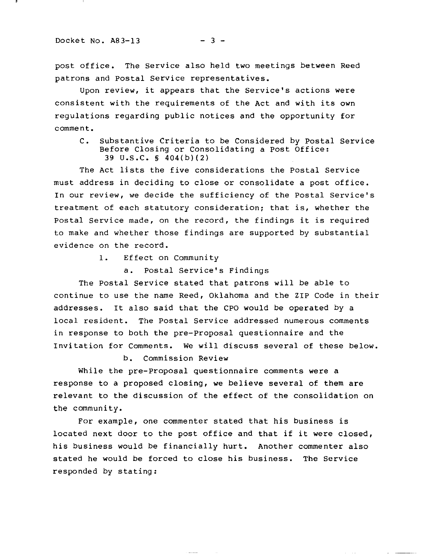post office. The Service also held two meetings between Reed patrons and Postal Service representatives.

Upon review, it appears that the Service's actions were consistent with the requirements of the Act and with its own regulations regarding public notices and the opportunity for comment.

C. Substantive Criteria to be Considered by Postal Service Before Closing or Consolidating a Post Office: 39 U.S.C. § 404(b)(2)

The Act lists the five considerations the Postal Service must address in deciding to close or consolidate a post office. In our review, we decide the sufficiency of the Postal Service's treatment of each statutory consideration; that is, whether the Postal Service made, on the record, the findings it is required to make and whether those findings are supported by substantial evidence on the record.

**1.** Effect on Community

a. Postal Service's Findings

The Postal Service stated that patrons will be able to continue to use the name Reed, Oklahoma and the ZIP Code in their addresses. It also said that the CPO would be operated by <sup>a</sup> local resident. The Postal Service addressed numerous comments in response to both the pre-Proposal questionnaire and the Invitation for Comments. We will discuss several of these below.

b. Commission Review

While the pre-proposal questionnaire comments were a response to a proposed closing, we believe several of them are relevant to the discussion of the effect of the consolidation on the community.

For example, one commenter stated that his business is located next door to the post office and that if it were closed, his business would be financially hurt. Another commenter also stated he would be forced to close his business. The Service responded by stating: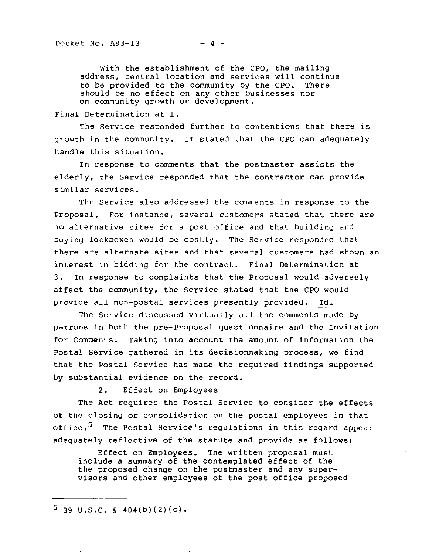with the establishment of the CPO, the mailing address, central location and services will continue to be provided to the community by the CPO. There should be no effect on any other businesses nor on community growth or development.

Final Determination at 1.

The Service responded further to contentions that there is growth in the community. It stated that the CPO can adequately handle this situation.

In response to comments that the postmaster assists the elderly, the Service responded that the contractor can provide similar services.

The Service also addressed the comments in response to the Proposal. For instance, several customers stated that there are no alternative sites for <sup>a</sup> post office and that building and buying lockboxes would be costly. The Service responded that there are alternate sites and that several customers had shown an interest in bidding for the contract. Final Determination at 3. In response to complaints that the Proposal would adversely affect the community, the Service stated that the CPO would provide all non-postal services presently provided. Id.

The Service discussed virtually all the comments made by patrons in both the pre-proposal questionnaire and the Invitation for Comments. Taking into account the amount of information the Postal Service gathered in its decisionmaking process, we find that the Postal Service has made the required findings supported by substantial evidence on the record.

2. Effect on Employees

The Act requires the Postal Service to consider the effects of the closing or consolidation on the postal employees in that office.<sup>5</sup> The Postal Service's regulations in this regard appear adequately reflective of the statute and provide as follows:

Effect on Employees. The written proposal must include <sup>a</sup> summary of the contemplated effect of the the proposed change on the postmaster and any supervisors and other employees of the post office proposed

 $5$  39 U.S.C. § 404(b)(2)(c).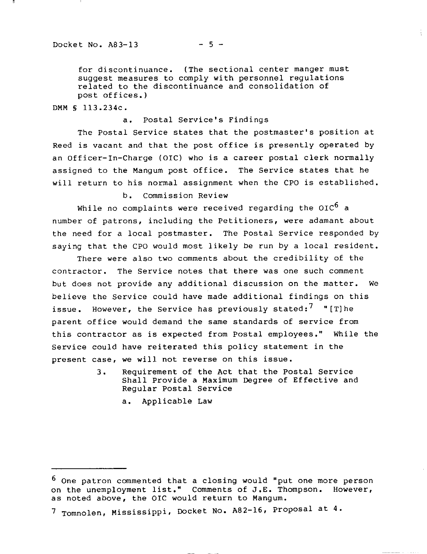for discontinuance. (The sectional center manger must suggest measures to comply with personnel regulations related to the discontinuance and consolidation of post offices.)

DMM § 113.234c.

# a. Postal Service's Findings

The Postal Service states that the postmaster's position at Reed is vacant and that the post office is presently operated by an Officer-In-Charge (OIC) who is a career postal clerk normally assigned to the Mangum post office. The Service states that he will return to his normal assignment when the CPO is established.

b. Commission Review

While no complaints were received regarding the OIC<sup>6</sup> a number of patrons, including the Petitioners, were adamant about the need for a local postmaster. The Postal Service responded by saying that the CPO would most likely be run by a local resident.

There were also two comments about the credibility of the contractor. The Service notes that there was one such comment but does not provide any additional discussion on the matter. We believe the Service could have made additional findings on this issue. However, the Service has previously stated:<sup>7</sup> "[T]he parent office would demand the same standards of service from this contractor as is expected from Postal employees." While the Service could have reiterated this policy statement in the present case, we will not reverse on this issue.

- 3. Requirement of the Act that the Postal Service Shall Provide a Maximum Degree of Effective and Regular Postal Service
	- a. Applicable Law

وعامل والمسا

<sup>6</sup> One patron commented that a closing would "put one more person on the unemployment list." Comments of **J.E.** Thompson. However, as noted above, the OIC would return to Mangum.

<sup>7</sup> Tomnolen, Mississippi, Docket No. A82-16, proposal at **4.**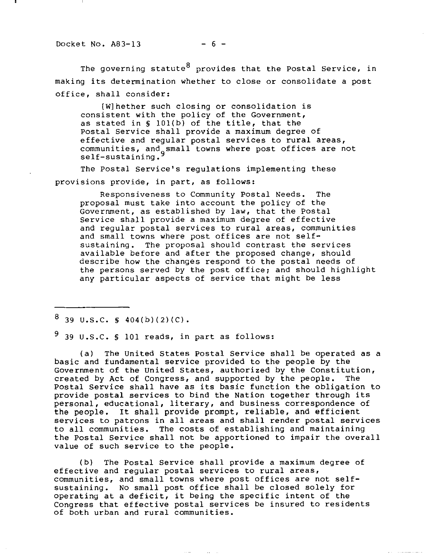Docket No.  $A83-13$  - 6 -

The governing statute  $8$  provides that the Postal Service, in making its determination whether to close or consolidate <sup>a</sup> post office, shall consider:

[W]hether such closing or consolidation is consistent with the policy of the Government, as stated in § 101{b) of the title, that the Postal Service shall provide <sup>a</sup> maximum degree of effective and regular postal services to rural areas, communities, and small towns where post offices are not self-sustaining.

The Postal Service's regulations implementing these provisions provide, in part, as follows:

Responsiveness to Community Postal Needs. The proposal must take into account the policy of the Government, as established by law, that the Postal Service shall provide <sup>a</sup> maximum degree of effective and regular postal services to rural areas, communities and small towns where post offices are not self-<br>sustaining. The proposal should contrast the se The proposal should contrast the services available before and after the proposed change, should describe how the changes respond to the postal needs of the persons served by the post office; and should highlight any particular aspects of service that might be less

 $8$  39 U.S.C. § 404(b)(2)(C).

 $9$  39 U.S.C. § 101 reads, in part as follows:

(a) The United States Postal Service shall be operated as <sup>a</sup> basic and fundamental service provided to the people by the Government of the united States, authorized by the Constitution, created by Act of Congress, and supported by the people. The Postal Service shall have as its basic function the obligation to provide postal services to bind the Nation together through its personal, educational, literary, and business correspondence of the people. It shall provide prompt, reliable, and efficient services to patrons in all areas and shall render postal services to all communities. The costs of establishing and maintaining the Postal Service shall not be apportioned to impair the overall value of such service to the people.

(b) The Postal Service shall provide <sup>a</sup> maximum degree of effective and regular postal services to rural areas, communities, and small towns where post offices are not selfsustaining. No small post office shall be closed solely for operating at <sup>a</sup> deficit, it being the specific intent of the Congress that effective postal services be insured to residents of both urban and rural communities.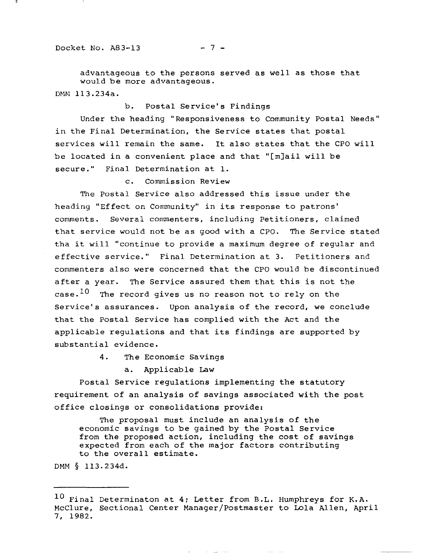advantageous to the persons served as well as those that would be more advantageous. DMM 113.234a.

b. Postal Service's Findings

Under the heading "Responsiveness to Community Postal Needs" in the Final Determination, the Service states that postal services will remain the same. It also states that the CPO will be located in <sup>a</sup> convenient place and that "[m]ail will be secure." Final Determination at 1.

c. Commission Review

The Postal Service also addressed this issue under the heading "Effect on Community" in its response to patrons' comments. Several commenters, including Petitioners, claimed that service would not be as good with a CPO. The Service stated tha it will "continue to provide <sup>a</sup> maximum degree of regular and effective service." Final Determination at 3. Petitioners and commenters also were concerned that the CPO would be discontinued after <sup>a</sup> year. The Service assured them that this is not the  $case.$ <sup>10</sup> The record gives us no reason not to rely on the Service's assurances. Upon analysis of the record, we conclude that the Postal Service has complied with the Act and the applicable regulations and that its findings are supported by substantial evidence.

4. The Economic Savings

a. Applicable Law

Postal Service regulations implementing the statutory requirement of an analysis of savings associated with the post office closings or consolidations provide:

The proposal must include an analysis of the economic savings to be gained by the Postal Service from the proposed action, including the cost of savings expected from each of the major factors contributing to the overall estimate.

DMM § 113.234d.

 $\mathcal{L}_{\mathcal{A}}$  and  $\mathcal{L}_{\mathcal{A}}$  are the set of  $\mathcal{A}$ 

<sup>10</sup> Final Determinaton at 4; Letter from B.L. Humphreys for K.A. McClure, Sectional Center Manager/Postmaster to Lola Allen, April 7, 1982.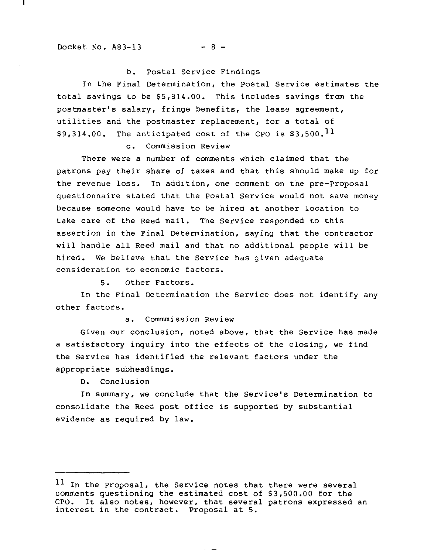$\perp$ 

L

# b. Postal Service Findings

In the Final Determination, the Postal Service estimates the total savings to be \$5,814.00. This includes savings from the postmaster's salary, fringe benefits, the lease agreement, utilities and the postmaster replacement, for <sup>a</sup> total of \$9,314.00. The anticipated cost of the CPO is  $$3,500$ .<sup>11</sup>

c. Commission Review

There were a number of comments which claimed that the patrons pay their share of taxes and that this should make up for the revenue loss. In addition, one comment on the pre-Proposal questionnaire stated that the Postal Service would not save money because someone would have to be hired at another location to take care of the Reed mail. The Service responded to this assertion in the Final Determination, saying that the contractor will handle all Reed mail and that no additional people will be hired. We believe that the Service has given adequate consideration to economic factors.

5. Other Factors.

In the Final Determination the Service does not identify any other factors.

a. Commmission Review

Given our conclusion, noted above, that the Service has made <sup>a</sup> satisfactory inquiry into the effects of the closing, we find the Service has identified the relevant factors under the appropriate subheadings.

D. Conclusion

In summary, we conclude that the Service's Determination to consolidate the Reed post office is supported by substantial evidence as required by law.

<sup>11</sup> In the Proposal, the Service notes that there were several comments questioning the estimated cost of \$3,500.00 for the CPO. It also notes, however, that several patrons expressed It also notes, however, that several patrons expressed an interest in the contract. proposal at 5.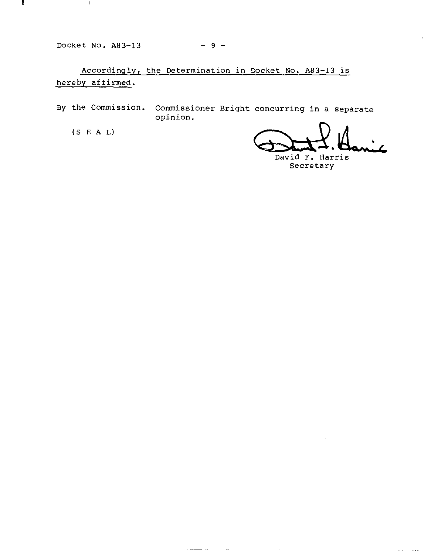Docket No. A83-l3

 $\mathbf{1}$ 

 $\mathbb{I}$ 

 $-9 -$ 

Accordingly, the Determination in Docket No. A83-l3 is hereby affirmed.

 $-$ 

 $\sim$   $-$  .

 $\sim$   $\sim$ 

By the Commission. Commissioner Bright concurring in a separate opinion.

(S E A L)

<del>Dant 1</del>. Hanic

 $\alpha$  and  $\alpha$  are also

David **F.** Harris secretary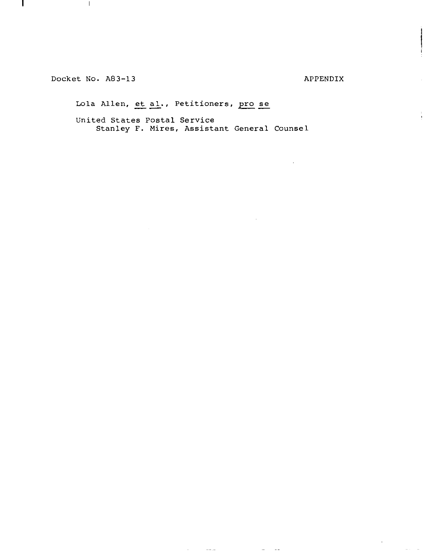Docket No. A83-13

 $\parallel$ 

 $\mathbf{I}$ 

APPENDIX

 $\begin{array}{c} \mathbf{y} \\ \mathbf{y} \\ \mathbf{y} \end{array}$ 

 $\frac{1}{\sqrt{2}}\left( \frac{1}{\sqrt{2}}\right) ^{2}$ 

 $\alpha$  and  $\alpha$  and

Lola Allen, et al., Petitioners, pro se

United States Postal Service Stanley F. Mires, Assistant General Counsel

 $\sim 100$  and  $\sim 100$ 

 $\sim$  $\sim$